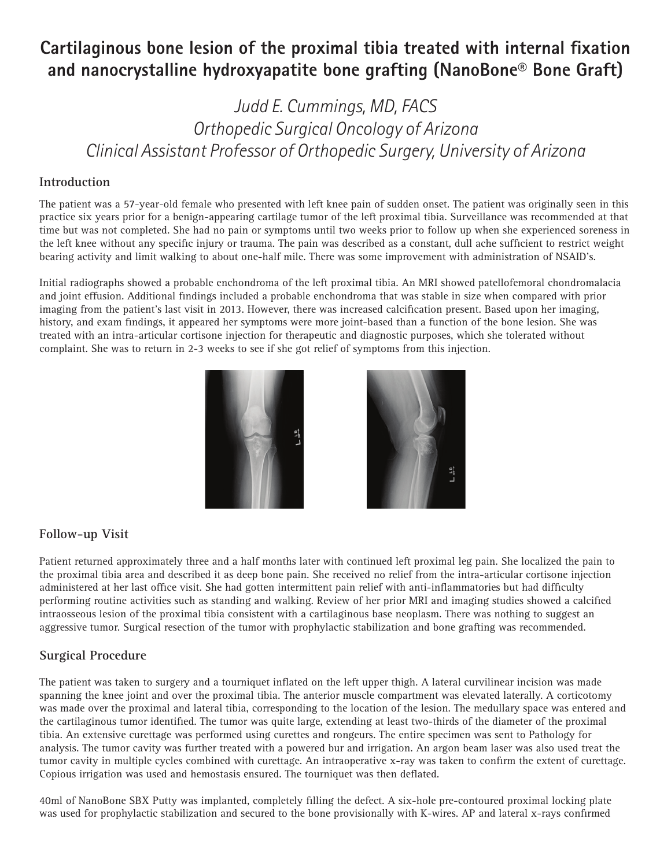# **Cartilaginous bone lesion of the proximal tibia treated with internal fixation and nanocrystalline hydroxyapatite bone grafting (NanoBone® Bone Graft)**

## *Judd E. Cummings, MD, FACS Orthopedic Surgical Oncology of Arizona Clinical Assistant Professor of Orthopedic Surgery, University of Arizona*

### **Introduction**

The patient was a 57-year-old female who presented with left knee pain of sudden onset. The patient was originally seen in this practice six years prior for a benign-appearing cartilage tumor of the left proximal tibia. Surveillance was recommended at that time but was not completed. She had no pain or symptoms until two weeks prior to follow up when she experienced soreness in the left knee without any specific injury or trauma. The pain was described as a constant, dull ache sufficient to restrict weight bearing activity and limit walking to about one-half mile. There was some improvement with administration of NSAID's.

Initial radiographs showed a probable enchondroma of the left proximal tibia. An MRI showed patellofemoral chondromalacia and joint effusion. Additional findings included a probable enchondroma that was stable in size when compared with prior imaging from the patient's last visit in 2013. However, there was increased calcification present. Based upon her imaging, history, and exam findings, it appeared her symptoms were more joint-based than a function of the bone lesion. She was treated with an intra-articular cortisone injection for therapeutic and diagnostic purposes, which she tolerated without complaint. She was to return in 2-3 weeks to see if she got relief of symptoms from this injection.





#### **Follow-up Visit**

Patient returned approximately three and a half months later with continued left proximal leg pain. She localized the pain to the proximal tibia area and described it as deep bone pain. She received no relief from the intra-articular cortisone injection administered at her last office visit. She had gotten intermittent pain relief with anti-inflammatories but had difficulty performing routine activities such as standing and walking. Review of her prior MRI and imaging studies showed a calcified intraosseous lesion of the proximal tibia consistent with a cartilaginous base neoplasm. There was nothing to suggest an aggressive tumor. Surgical resection of the tumor with prophylactic stabilization and bone grafting was recommended.

#### **Surgical Procedure**

The patient was taken to surgery and a tourniquet inflated on the left upper thigh. A lateral curvilinear incision was made spanning the knee joint and over the proximal tibia. The anterior muscle compartment was elevated laterally. A corticotomy was made over the proximal and lateral tibia, corresponding to the location of the lesion. The medullary space was entered and the cartilaginous tumor identified. The tumor was quite large, extending at least two-thirds of the diameter of the proximal tibia. An extensive curettage was performed using curettes and rongeurs. The entire specimen was sent to Pathology for analysis. The tumor cavity was further treated with a powered bur and irrigation. An argon beam laser was also used treat the tumor cavity in multiple cycles combined with curettage. An intraoperative x-ray was taken to confirm the extent of curettage. Copious irrigation was used and hemostasis ensured. The tourniquet was then deflated.

40ml of NanoBone SBX Putty was implanted, completely filling the defect. A six-hole pre-contoured proximal locking plate was used for prophylactic stabilization and secured to the bone provisionally with K-wires. AP and lateral x-rays confirmed